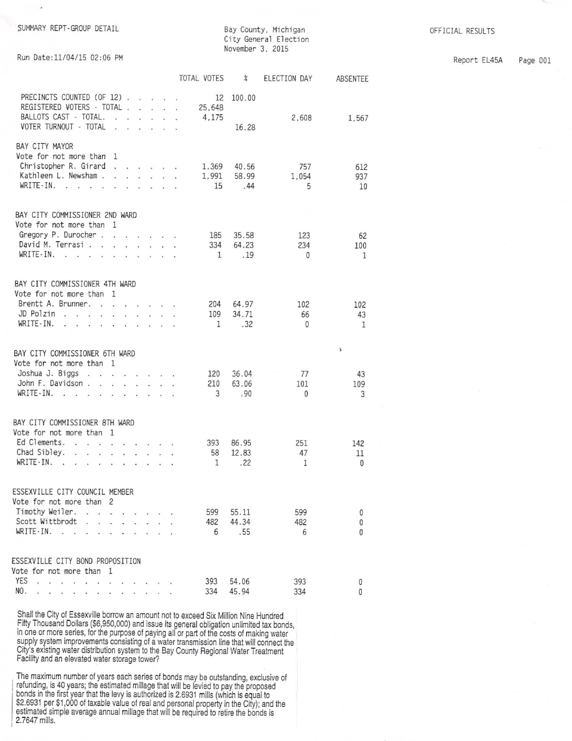Bay County, Michigan City General Election November 3, 2015

Report EL45A Page 001

|  |  |  |  | Run Date:11/04/15 02:06 PM |  |
|--|--|--|--|----------------------------|--|
|--|--|--|--|----------------------------|--|

|                                                                                                            |                                                                                                                                                                                                                                   |                                                                                                                                                                                                                                                                                          |                   | TOTAL VOTES           | $\chi$          | ELECTION DAY | ABSENTEE     |
|------------------------------------------------------------------------------------------------------------|-----------------------------------------------------------------------------------------------------------------------------------------------------------------------------------------------------------------------------------|------------------------------------------------------------------------------------------------------------------------------------------------------------------------------------------------------------------------------------------------------------------------------------------|-------------------|-----------------------|-----------------|--------------|--------------|
| PRECINCTS COUNTED (OF 12)<br>REGISTERED VOTERS - TOTAL .<br>BALLOTS CAST - TOTAL.<br>VOTER TURNOUT - TOTAL | <b>Contract Contract</b><br>$\sim$<br>$\sim$                                                                                                                                                                                      | $\mathbf{r}$ . The contract of the contract of the contract of the contract of the contract of the contract of the contract of the contract of the contract of the contract of the contract of the contract of the contract of th<br>$-1 - 1 - 1 = 0$<br>$\cdot$ $\cdot$ $\cdot$ $\cdot$ |                   | 12<br>25,648<br>4.175 | 100.00<br>16.28 | 2,608        | 1,567        |
| BAY CITY MAYOR<br>Vote for not more than 1<br>Christopher R. Girard<br>Kathleen L. Newsham.                | $\sim$                                                                                                                                                                                                                            |                                                                                                                                                                                                                                                                                          | $\epsilon = 10^7$ | 1,369<br>1,991        | 40.56<br>58.99  | 757<br>1.054 | 612<br>937   |
| WRITE-IN.<br>$\sim$ $\sim$ $\sim$ $\sim$ $\sim$                                                            | $\mathbf{r}$ . The set of the set of the set of the set of the set of the set of the set of the set of the set of the set of the set of the set of the set of the set of the set of the set of the set of the set of the set of t |                                                                                                                                                                                                                                                                                          |                   | 15                    | .44             | 5            | 10           |
| BAY CITY COMMISSIONER 2ND WARD<br>Vote for not more than 1                                                 |                                                                                                                                                                                                                                   |                                                                                                                                                                                                                                                                                          |                   |                       |                 |              |              |
| Gregory P. Durocher                                                                                        |                                                                                                                                                                                                                                   |                                                                                                                                                                                                                                                                                          |                   | 185                   | 35.58           | 123          | 62           |
| David M. Terrasi.<br>$WRITE-IN.$                                                                           |                                                                                                                                                                                                                                   |                                                                                                                                                                                                                                                                                          |                   | 334<br>$\mathbf{1}$   | 64.23<br>.19    | 234<br>0     | 100<br>1     |
|                                                                                                            |                                                                                                                                                                                                                                   |                                                                                                                                                                                                                                                                                          |                   |                       |                 |              |              |
| BAY CITY COMMISSIONER 4TH WARD                                                                             |                                                                                                                                                                                                                                   |                                                                                                                                                                                                                                                                                          |                   |                       |                 |              |              |
| Vote for not more than 1                                                                                   |                                                                                                                                                                                                                                   |                                                                                                                                                                                                                                                                                          |                   |                       |                 |              |              |
| Brentt A. Brunner.<br>JD Polzin                                                                            | <b>Contract Contract Contract</b>                                                                                                                                                                                                 |                                                                                                                                                                                                                                                                                          |                   | 204<br>109            | 64.97<br>34.71  | 102<br>66    | 102<br>43    |
| WRITE-IN.<br>$\sim$<br>$\cdot$ $\cdot$ $\cdot$                                                             | $\cdot$<br>$\cdot$ $\cdot$ $\cdot$ $\cdot$                                                                                                                                                                                        |                                                                                                                                                                                                                                                                                          |                   | 1                     | .32             | 0            | 1            |
|                                                                                                            |                                                                                                                                                                                                                                   |                                                                                                                                                                                                                                                                                          |                   |                       |                 |              |              |
| BAY CITY COMMISSIONER 6TH WARD                                                                             |                                                                                                                                                                                                                                   |                                                                                                                                                                                                                                                                                          |                   |                       |                 |              | ă.           |
| Vote for not more than 1<br>Joshua J. Biggs                                                                |                                                                                                                                                                                                                                   |                                                                                                                                                                                                                                                                                          |                   |                       |                 |              |              |
| John F. Davidson                                                                                           |                                                                                                                                                                                                                                   |                                                                                                                                                                                                                                                                                          |                   | 120<br>210            | 36.04<br>63.06  | 77<br>101    | 43<br>109    |
| WRITE-IN.                                                                                                  |                                                                                                                                                                                                                                   |                                                                                                                                                                                                                                                                                          |                   | 3                     | .90             | $\mathbf{0}$ | 3            |
|                                                                                                            |                                                                                                                                                                                                                                   |                                                                                                                                                                                                                                                                                          |                   |                       |                 |              |              |
| BAY CITY COMMISSIONER 8TH WARD                                                                             |                                                                                                                                                                                                                                   |                                                                                                                                                                                                                                                                                          |                   |                       |                 |              |              |
| Vote for not more than 1<br>Ed Clements.                                                                   |                                                                                                                                                                                                                                   |                                                                                                                                                                                                                                                                                          |                   | 393                   | 86.95           | 251          | 142          |
| Chad Sibley.                                                                                               |                                                                                                                                                                                                                                   |                                                                                                                                                                                                                                                                                          |                   | 58                    | 12.83           | 47           | 11           |
| WRITE-IN.<br>the contract of the contract of the contract                                                  |                                                                                                                                                                                                                                   |                                                                                                                                                                                                                                                                                          |                   | 1                     | .22             | 1            | $\mathbf{0}$ |
|                                                                                                            |                                                                                                                                                                                                                                   |                                                                                                                                                                                                                                                                                          |                   |                       |                 |              |              |
| ESSEXVILLE CITY COUNCIL MEMBER<br>Vote for not more than 2                                                 |                                                                                                                                                                                                                                   |                                                                                                                                                                                                                                                                                          |                   |                       |                 |              |              |
| Timothy Weiler.<br>L.                                                                                      |                                                                                                                                                                                                                                   |                                                                                                                                                                                                                                                                                          |                   | 599                   | 55.11           | 599          | 0            |
| Scott Wittbrodt                                                                                            |                                                                                                                                                                                                                                   |                                                                                                                                                                                                                                                                                          |                   | 482                   | 44.34           | 482          | 0            |
| WRITE-IN.                                                                                                  |                                                                                                                                                                                                                                   |                                                                                                                                                                                                                                                                                          |                   | 6                     | .55             | 6            | $\mathbf{0}$ |
| ESSEXVILLE CITY BOND PROPOSITION                                                                           |                                                                                                                                                                                                                                   |                                                                                                                                                                                                                                                                                          |                   |                       |                 |              |              |
| Vote for not more than 1                                                                                   |                                                                                                                                                                                                                                   |                                                                                                                                                                                                                                                                                          |                   |                       |                 |              |              |
| <b>YES</b><br>i,<br>J.<br>$\sim$<br>$\sim$<br>$\sim$                                                       |                                                                                                                                                                                                                                   |                                                                                                                                                                                                                                                                                          |                   | 393                   | 54.06           | 393          | 0            |
| NO.                                                                                                        |                                                                                                                                                                                                                                   |                                                                                                                                                                                                                                                                                          |                   | 334                   | 45.94           | 334          | 0            |

Shall the City of Essexville borrow an amount not to exceed Six Million Nine Hundred<br>Fifty Thousand Dollars (\$6,950,000) and issue its general obligation unlimited tax bonds, in one or more series, for the purpose of paying all or part of the costs of making water<br>supply system improvements consisting of a water transmission line that will connect the City's existing water distribution system to the Bay County Regional Water Treatment<br>Facility and an elevated water storage tower?

The maximum number of years each series of bonds may be outstanding, exclusive of refunding, is 40 years; the estimated millage that will be levied to pay the proposed bonds in the first year that the levy is authorized i 2.7647 mills.